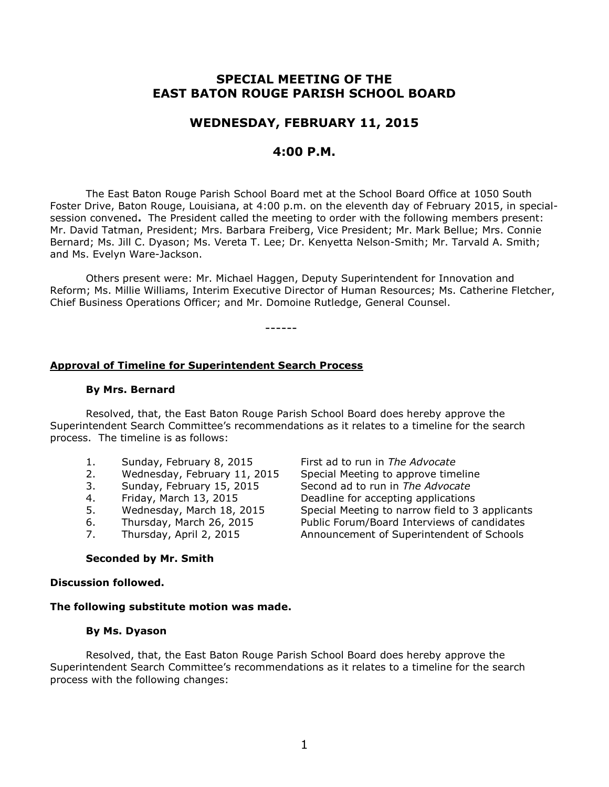# **SPECIAL MEETING OF THE EAST BATON ROUGE PARISH SCHOOL BOARD**

## **WEDNESDAY, FEBRUARY 11, 2015**

## **4:00 P.M.**

The East Baton Rouge Parish School Board met at the School Board Office at 1050 South Foster Drive, Baton Rouge, Louisiana, at 4:00 p.m. on the eleventh day of February 2015, in specialsession convened**.** The President called the meeting to order with the following members present: Mr. David Tatman, President; Mrs. Barbara Freiberg, Vice President; Mr. Mark Bellue; Mrs. Connie Bernard; Ms. Jill C. Dyason; Ms. Vereta T. Lee; Dr. Kenyetta Nelson-Smith; Mr. Tarvald A. Smith; and Ms. Evelyn Ware-Jackson.

Others present were: Mr. Michael Haggen, Deputy Superintendent for Innovation and Reform; Ms. Millie Williams, Interim Executive Director of Human Resources; Ms. Catherine Fletcher, Chief Business Operations Officer; and Mr. Domoine Rutledge, General Counsel.

------

## **Approval of Timeline for Superintendent Search Process**

#### **By Mrs. Bernard**

Resolved, that, the East Baton Rouge Parish School Board does hereby approve the Superintendent Search Committee's recommendations as it relates to a timeline for the search process. The timeline is as follows:

- 1. Sunday, February 8, 2015 First ad to run in *The Advocate*
- 
- 
- 
- 
- 
- 

**Seconded by Mr. Smith**

#### **Discussion followed.**

**The following substitute motion was made.**

#### **By Ms. Dyason**

Resolved, that, the East Baton Rouge Parish School Board does hereby approve the Superintendent Search Committee's recommendations as it relates to a timeline for the search process with the following changes:

2. Wednesday, February 11, 2015 Special Meeting to approve timeline 3. Sunday, February 15, 2015 Second ad to run in *The Advocate* 4. Friday, March 13, 2015 Deadline for accepting applications 5. Wednesday, March 18, 2015 Special Meeting to narrow field to 3 applicants 6. Thursday, March 26, 2015 Public Forum/Board Interviews of candidates 7. Thursday, April 2, 2015 Announcement of Superintendent of Schools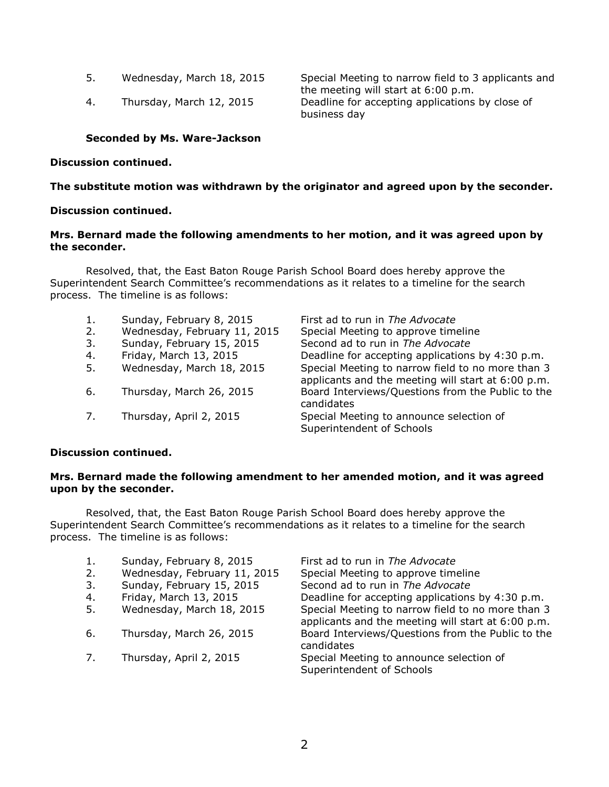- 
- 

5. Wednesday, March 18, 2015 Special Meeting to narrow field to 3 applicants and the meeting will start at 6:00 p.m. 4. Thursday, March 12, 2015 Deadline for accepting applications by close of business day

## **Seconded by Ms. Ware-Jackson**

### **Discussion continued.**

## **The substitute motion was withdrawn by the originator and agreed upon by the seconder.**

### **Discussion continued.**

## **Mrs. Bernard made the following amendments to her motion, and it was agreed upon by the seconder.**

Resolved, that, the East Baton Rouge Parish School Board does hereby approve the Superintendent Search Committee's recommendations as it relates to a timeline for the search process. The timeline is as follows:

1. Sunday, February 8, 2015 First ad to run in *The Advocate* 2. Wednesday, February 11, 2015 Special Meeting to approve timeline 3. Sunday, February 15, 2015 Second ad to run in *The Advocate* 4. Friday, March 13, 2015 Deadline for accepting applications by 4:30 p.m. 5. Wednesday, March 18, 2015 Special Meeting to narrow field to no more than 3 applicants and the meeting will start at 6:00 p.m. 6. Thursday, March 26, 2015 Board Interviews/Questions from the Public to the candidates 7. Thursday, April 2, 2015 Special Meeting to announce selection of Superintendent of Schools

#### **Discussion continued.**

### **Mrs. Bernard made the following amendment to her amended motion, and it was agreed upon by the seconder.**

Resolved, that, the East Baton Rouge Parish School Board does hereby approve the Superintendent Search Committee's recommendations as it relates to a timeline for the search process. The timeline is as follows:

|    | Sunday, February 8, 2015     | First ad to run in The Advocate                                                                         |
|----|------------------------------|---------------------------------------------------------------------------------------------------------|
| 2. | Wednesday, February 11, 2015 | Special Meeting to approve timeline                                                                     |
| 3. | Sunday, February 15, 2015    | Second ad to run in The Advocate                                                                        |
| 4. | Friday, March 13, 2015       | Deadline for accepting applications by 4:30 p.m.                                                        |
| 5. | Wednesday, March 18, 2015    | Special Meeting to narrow field to no more than 3<br>applicants and the meeting will start at 6:00 p.m. |
| 6. | Thursday, March 26, 2015     | Board Interviews/Questions from the Public to the<br>candidates                                         |
|    | Thursday, April 2, 2015      | Special Meeting to announce selection of<br>Superintendent of Schools                                   |